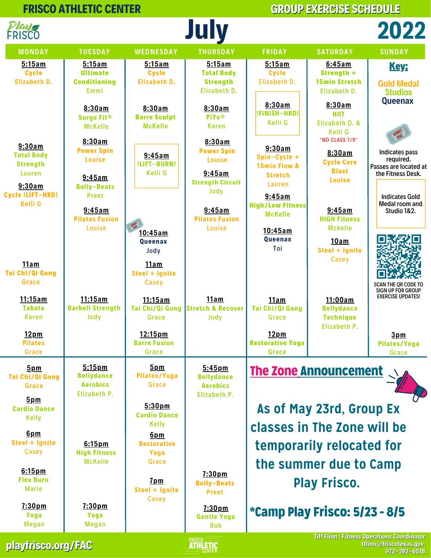

**playfrisco.org/FAC**

**ERISCO**<br>**ATHLETIC**<br>CENTER

**tflinn@friscotexas.gov 972-292-6518**